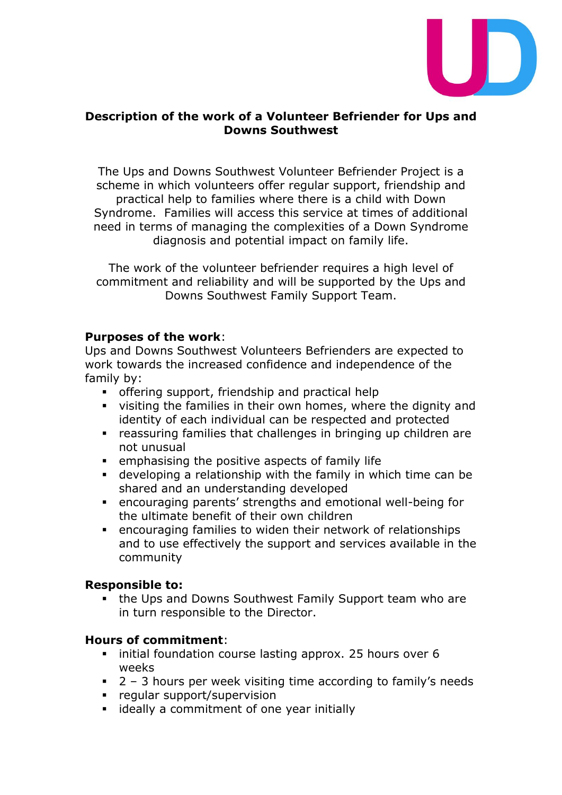

### **Description of the work of a Volunteer Befriender for Ups and Downs Southwest**

The Ups and Downs Southwest Volunteer Befriender Project is a scheme in which volunteers offer regular support, friendship and practical help to families where there is a child with Down Syndrome. Families will access this service at times of additional need in terms of managing the complexities of a Down Syndrome diagnosis and potential impact on family life.

The work of the volunteer befriender requires a high level of commitment and reliability and will be supported by the Ups and Downs Southwest Family Support Team.

### **Purposes of the work**:

Ups and Downs Southwest Volunteers Befrienders are expected to work towards the increased confidence and independence of the family by:

- **•** offering support, friendship and practical help
- visiting the families in their own homes, where the dignity and identity of each individual can be respected and protected
- reassuring families that challenges in bringing up children are not unusual
- emphasising the positive aspects of family life
- developing a relationship with the family in which time can be shared and an understanding developed
- encouraging parents' strengths and emotional well-being for the ultimate benefit of their own children
- encouraging families to widen their network of relationships and to use effectively the support and services available in the community

#### **Responsible to:**

■ the Ups and Downs Southwest Family Support team who are in turn responsible to the Director.

### **Hours of commitment**:

- initial foundation course lasting approx. 25 hours over 6 weeks
- $\blacksquare$  2 3 hours per week visiting time according to family's needs
- regular support/supervision
- ideally a commitment of one year initially